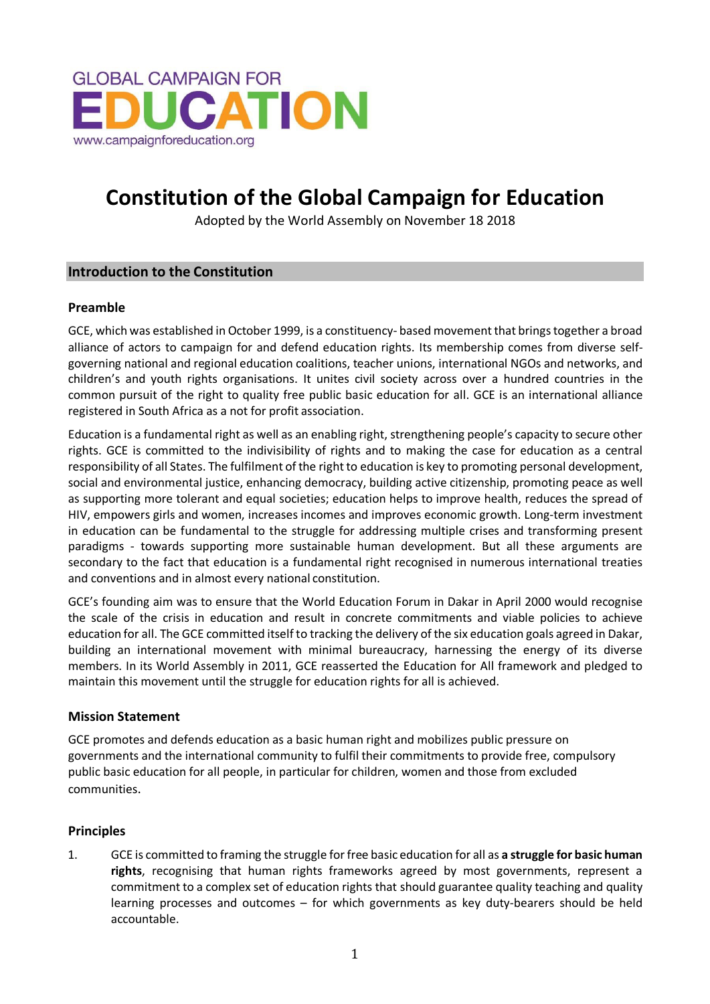

# **Constitution of the Global Campaign for Education**

Adopted by the World Assembly on November 18 2018

## **Introduction to the Constitution**

#### **Preamble**

GCE, which was established in October 1999, is a constituency- based movement that brings together a broad alliance of actors to campaign for and defend education rights. Its membership comes from diverse selfgoverning national and regional education coalitions, teacher unions, international NGOs and networks, and children's and youth rights organisations. It unites civil society across over a hundred countries in the common pursuit of the right to quality free public basic education for all. GCE is an international alliance registered in South Africa as a not for profit association.

Education is a fundamental right as well as an enabling right, strengthening people's capacity to secure other rights. GCE is committed to the indivisibility of rights and to making the case for education as a central responsibility of all States. The fulfilment of the right to education is key to promoting personal development, social and environmental justice, enhancing democracy, building active citizenship, promoting peace as well as supporting more tolerant and equal societies; education helps to improve health, reduces the spread of HIV, empowers girls and women, increases incomes and improves economic growth. Long-term investment in education can be fundamental to the struggle for addressing multiple crises and transforming present paradigms - towards supporting more sustainable human development. But all these arguments are secondary to the fact that education is a fundamental right recognised in numerous international treaties and conventions and in almost every national constitution.

GCE's founding aim was to ensure that the World Education Forum in Dakar in April 2000 would recognise the scale of the crisis in education and result in concrete commitments and viable policies to achieve education for all. The GCE committed itself to tracking the delivery of the six education goals agreed in Dakar, building an international movement with minimal bureaucracy, harnessing the energy of its diverse members. In its World Assembly in 2011, GCE reasserted the Education for All framework and pledged to maintain this movement until the struggle for education rights for all is achieved.

#### **Mission Statement**

GCE promotes and defends education as a basic human right and mobilizes public pressure on governments and the international community to fulfil their commitments to provide free, compulsory public basic education for all people, in particular for children, women and those from excluded communities.

## **Principles**

1. GCE is committed to framing the struggle for free basic education for all as **a struggle for basic human rights**, recognising that human rights frameworks agreed by most governments, represent a commitment to a complex set of education rights that should guarantee quality teaching and quality learning processes and outcomes – for which governments as key duty-bearers should be held accountable.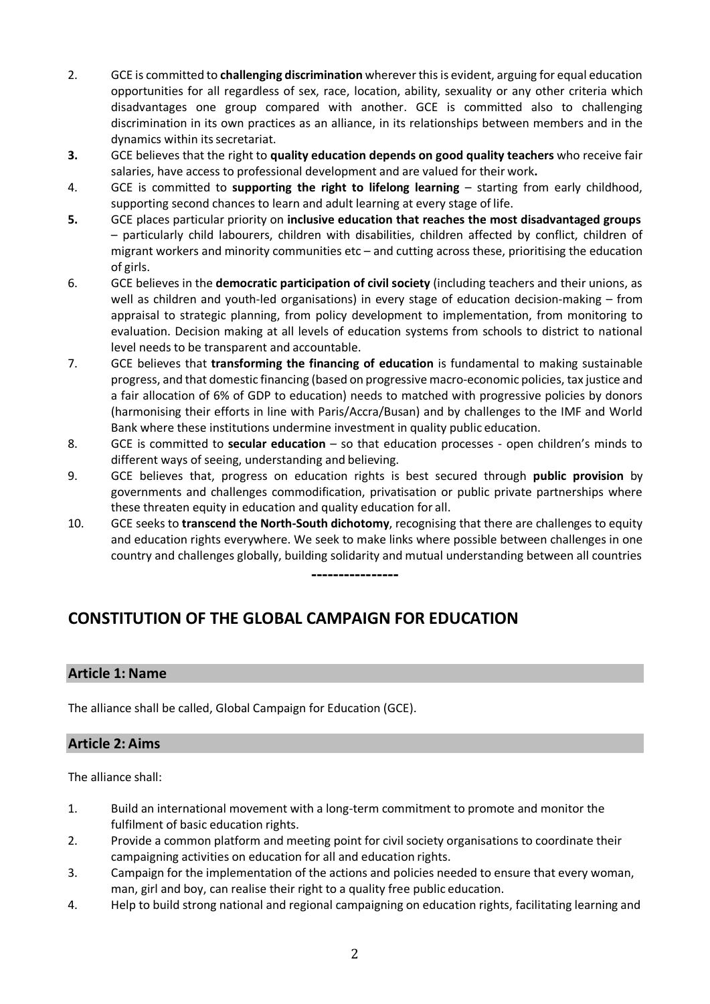- 2. GCE is committed to **challenging discrimination** wherever this is evident, arguing for equal education opportunities for all regardless of sex, race, location, ability, sexuality or any other criteria which disadvantages one group compared with another. GCE is committed also to challenging discrimination in its own practices as an alliance, in its relationships between members and in the dynamics within its secretariat.
- **3.** GCE believes that the right to **quality education depends on good quality teachers** who receive fair salaries, have access to professional development and are valued for their work**.**
- 4. GCE is committed to **supporting the right to lifelong learning**  starting from early childhood, supporting second chances to learn and adult learning at every stage of life.
- **5.** GCE places particular priority on **inclusive education that reaches the most disadvantaged groups** – particularly child labourers, children with disabilities, children affected by conflict, children of migrant workers and minority communities etc – and cutting across these, prioritising the education of girls.
- 6. GCE believes in the **democratic participation of civil society** (including teachers and their unions, as well as children and youth-led organisations) in every stage of education decision-making – from appraisal to strategic planning, from policy development to implementation, from monitoring to evaluation. Decision making at all levels of education systems from schools to district to national level needs to be transparent and accountable.
- 7. GCE believes that **transforming the financing of education** is fundamental to making sustainable progress, and that domestic financing (based on progressive macro-economic policies, tax justice and a fair allocation of 6% of GDP to education) needs to matched with progressive policies by donors (harmonising their efforts in line with Paris/Accra/Busan) and by challenges to the IMF and World Bank where these institutions undermine investment in quality public education.
- 8. GCE is committed to **secular education**  so that education processes open children's minds to different ways of seeing, understanding and believing.
- 9. GCE believes that, progress on education rights is best secured through **public provision** by governments and challenges commodification, privatisation or public private partnerships where these threaten equity in education and quality education for all.
- 10. GCE seeks to **transcend the North-South dichotomy**, recognising that there are challenges to equity and education rights everywhere. We seek to make links where possible between challenges in one country and challenges globally, building solidarity and mutual understanding between all countries

**----------------**

# **CONSTITUTION OF THE GLOBAL CAMPAIGN FOR EDUCATION**

# **Article 1: Name**

The alliance shall be called, Global Campaign for Education (GCE).

## **Article 2: Aims**

The alliance shall:

- 1. Build an international movement with a long-term commitment to promote and monitor the fulfilment of basic education rights.
- 2. Provide a common platform and meeting point for civil society organisations to coordinate their campaigning activities on education for all and education rights.
- 3. Campaign for the implementation of the actions and policies needed to ensure that every woman, man, girl and boy, can realise their right to a quality free public education.
- 4. Help to build strong national and regional campaigning on education rights, facilitating learning and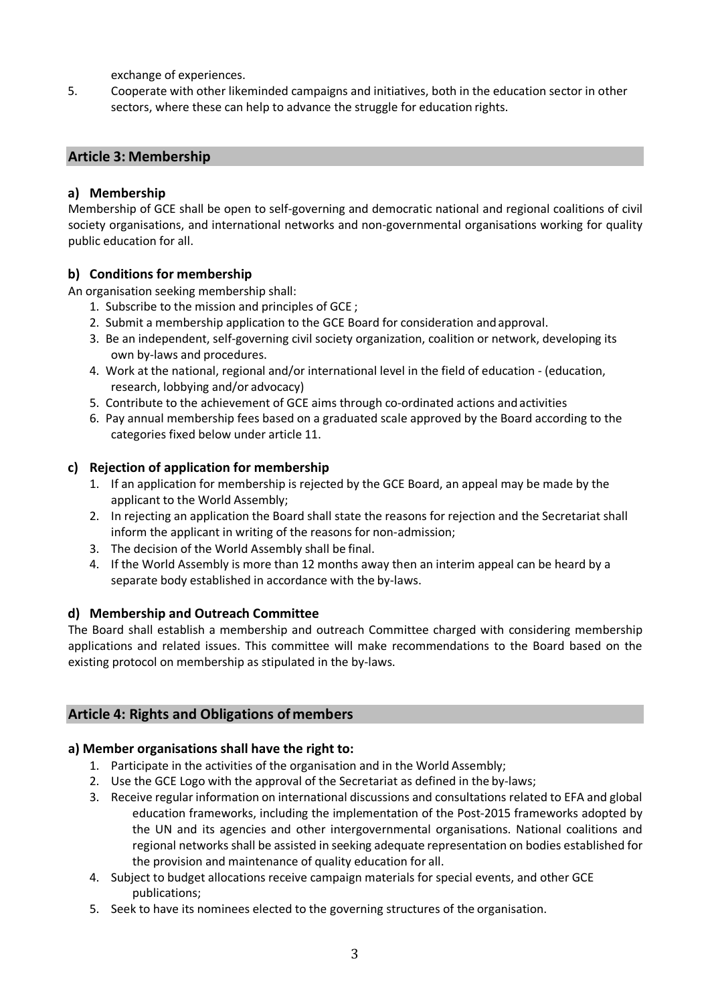exchange of experiences.

5. Cooperate with other likeminded campaigns and initiatives, both in the education sector in other sectors, where these can help to advance the struggle for education rights.

# **Article 3: Membership**

## **a) Membership**

Membership of GCE shall be open to self-governing and democratic national and regional coalitions of civil society organisations, and international networks and non-governmental organisations working for quality public education for all.

# **b) Conditions for membership**

An organisation seeking membership shall:

- 1. Subscribe to the mission and principles of GCE ;
- 2. Submit a membership application to the GCE Board for consideration andapproval.
- 3. Be an independent, self-governing civil society organization, coalition or network, developing its own by-laws and procedures.
- 4. Work at the national, regional and/or international level in the field of education (education, research, lobbying and/or advocacy)
- 5. Contribute to the achievement of GCE aims through co-ordinated actions andactivities
- 6. Pay annual membership fees based on a graduated scale approved by the Board according to the categories fixed below under article 11.

## **c) Rejection of application for membership**

- 1. If an application for membership is rejected by the GCE Board, an appeal may be made by the applicant to the World Assembly;
- 2. In rejecting an application the Board shall state the reasons for rejection and the Secretariat shall inform the applicant in writing of the reasons for non-admission;
- 3. The decision of the World Assembly shall be final.
- 4. If the World Assembly is more than 12 months away then an interim appeal can be heard by a separate body established in accordance with the by-laws.

## **d) Membership and Outreach Committee**

The Board shall establish a membership and outreach Committee charged with considering membership applications and related issues. This committee will make recommendations to the Board based on the existing protocol on membership as stipulated in the by-laws.

# **Article 4: Rights and Obligations ofmembers**

## **a) Member organisations shall have the right to:**

- 1. Participate in the activities of the organisation and in the World Assembly;
- 2. Use the GCE Logo with the approval of the Secretariat as defined in the by-laws;
- 3. Receive regular information on international discussions and consultations related to EFA and global education frameworks, including the implementation of the Post-2015 frameworks adopted by the UN and its agencies and other intergovernmental organisations. National coalitions and regional networks shall be assisted in seeking adequate representation on bodies established for the provision and maintenance of quality education for all.
- 4. Subject to budget allocations receive campaign materials for special events, and other GCE publications;
- 5. Seek to have its nominees elected to the governing structures of the organisation.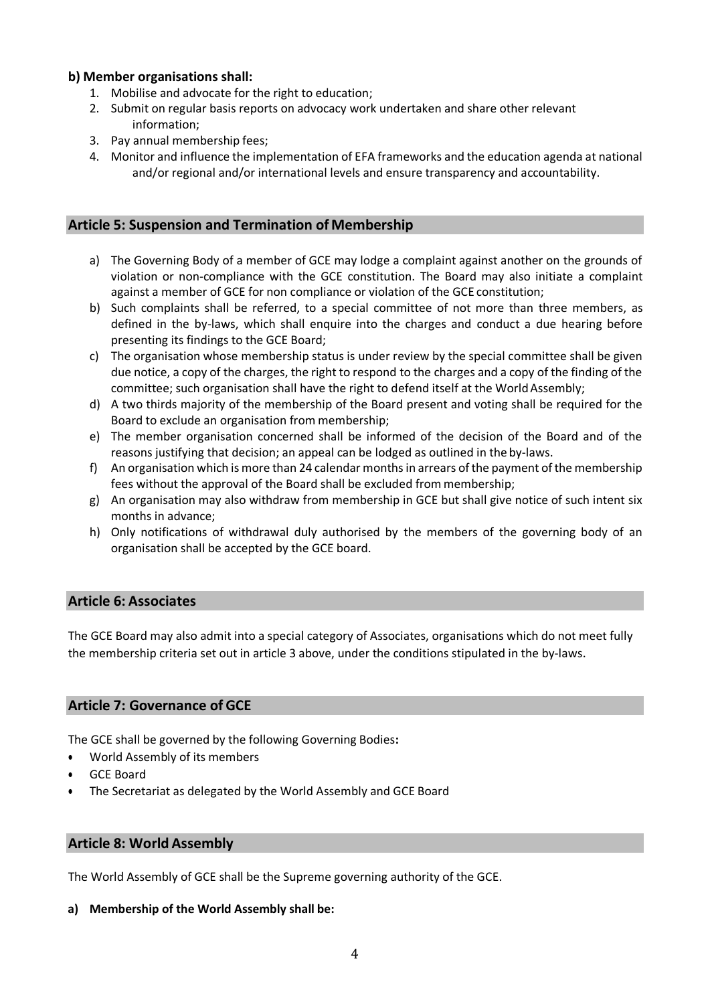## **b) Member organisations shall:**

- 1. Mobilise and advocate for the right to education;
- 2. Submit on regular basis reports on advocacy work undertaken and share other relevant information;
- 3. Pay annual membership fees;
- 4. Monitor and influence the implementation of EFA frameworks and the education agenda at national and/or regional and/or international levels and ensure transparency and accountability.

## **Article 5: Suspension and Termination of Membership**

- a) The Governing Body of a member of GCE may lodge a complaint against another on the grounds of violation or non-compliance with the GCE constitution. The Board may also initiate a complaint against a member of GCE for non compliance or violation of the GCE constitution;
- b) Such complaints shall be referred, to a special committee of not more than three members, as defined in the by-laws, which shall enquire into the charges and conduct a due hearing before presenting its findings to the GCE Board;
- c) The organisation whose membership status is under review by the special committee shall be given due notice, a copy of the charges, the right to respond to the charges and a copy of the finding of the committee; such organisation shall have the right to defend itself at the World Assembly;
- d) A two thirds majority of the membership of the Board present and voting shall be required for the Board to exclude an organisation from membership;
- e) The member organisation concerned shall be informed of the decision of the Board and of the reasons justifying that decision; an appeal can be lodged as outlined in the by-laws.
- f) An organisation which is more than 24 calendar months in arrears of the payment of the membership fees without the approval of the Board shall be excluded from membership;
- g) An organisation may also withdraw from membership in GCE but shall give notice of such intent six months in advance;
- h) Only notifications of withdrawal duly authorised by the members of the governing body of an organisation shall be accepted by the GCE board.

# **Article 6: Associates**

The GCE Board may also admit into a special category of Associates, organisations which do not meet fully the membership criteria set out in article 3 above, under the conditions stipulated in the by-laws.

## **Article 7: Governance of GCE**

The GCE shall be governed by the following Governing Bodies**:**

- World Assembly of its members
- GCE Board
- The Secretariat as delegated by the World Assembly and GCE Board

## **Article 8: World Assembly**

The World Assembly of GCE shall be the Supreme governing authority of the GCE.

#### **a) Membership of the World Assembly shall be:**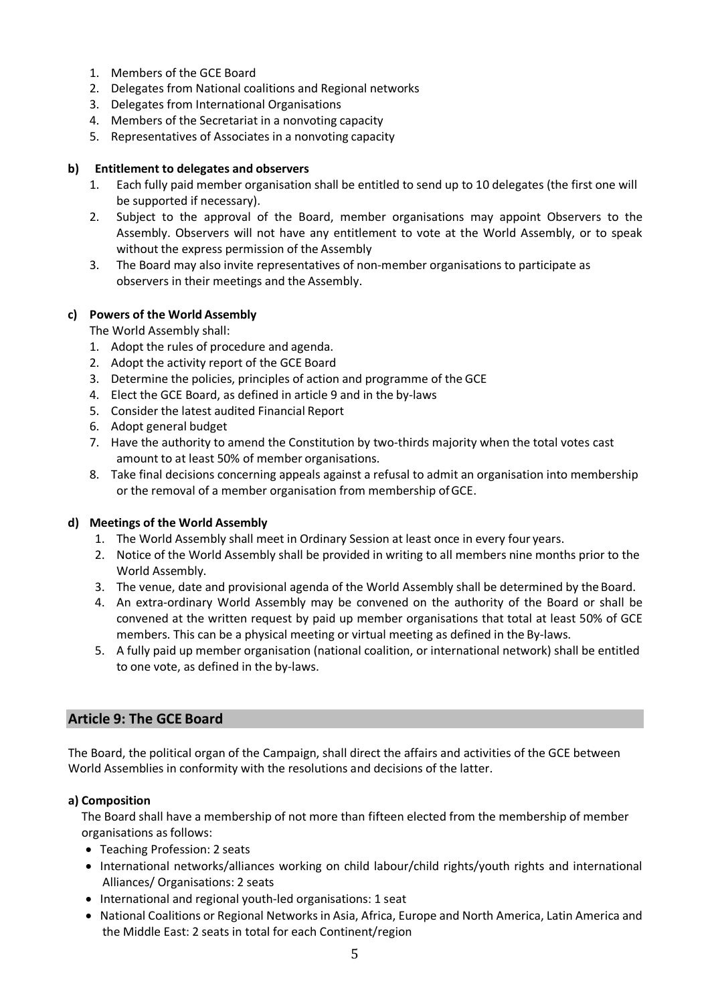- 1. Members of the GCE Board
- 2. Delegates from National coalitions and Regional networks
- 3. Delegates from International Organisations
- 4. Members of the Secretariat in a nonvoting capacity
- 5. Representatives of Associates in a nonvoting capacity

#### **b) Entitlement to delegates and observers**

- 1. Each fully paid member organisation shall be entitled to send up to 10 delegates (the first one will be supported if necessary).
- 2. Subject to the approval of the Board, member organisations may appoint Observers to the Assembly. Observers will not have any entitlement to vote at the World Assembly, or to speak without the express permission of the Assembly
- 3. The Board may also invite representatives of non-member organisations to participate as observers in their meetings and the Assembly.

#### **c) Powers of the World Assembly**

The World Assembly shall:

- 1. Adopt the rules of procedure and agenda.
- 2. Adopt the activity report of the GCE Board
- 3. Determine the policies, principles of action and programme of the GCE
- 4. Elect the GCE Board, as defined in article 9 and in the by-laws
- 5. Consider the latest audited Financial Report
- 6. Adopt general budget
- 7. Have the authority to amend the Constitution by two-thirds majority when the total votes cast amount to at least 50% of member organisations.
- 8. Take final decisions concerning appeals against a refusal to admit an organisation into membership or the removal of a member organisation from membership ofGCE.

#### **d) Meetings of the World Assembly**

- 1. The World Assembly shall meet in Ordinary Session at least once in every four years.
- 2. Notice of the World Assembly shall be provided in writing to all members nine months prior to the World Assembly.
- 3. The venue, date and provisional agenda of the World Assembly shall be determined by the Board.
- 4. An extra-ordinary World Assembly may be convened on the authority of the Board or shall be convened at the written request by paid up member organisations that total at least 50% of GCE members. This can be a physical meeting or virtual meeting as defined in the By-laws.
- 5. A fully paid up member organisation (national coalition, or international network) shall be entitled to one vote, as defined in the by-laws.

## **Article 9: The GCE Board**

The Board, the political organ of the Campaign, shall direct the affairs and activities of the GCE between World Assemblies in conformity with the resolutions and decisions of the latter.

#### **a) Composition**

The Board shall have a membership of not more than fifteen elected from the membership of member organisations asfollows:

- Teaching Profession: 2 seats
- International networks/alliances working on child labour/child rights/youth rights and international Alliances/ Organisations: 2 seats
- International and regional youth-led organisations: 1 seat
- National Coalitions or Regional Networks in Asia, Africa, Europe and North America, Latin America and the Middle East: 2 seats in total for each Continent/region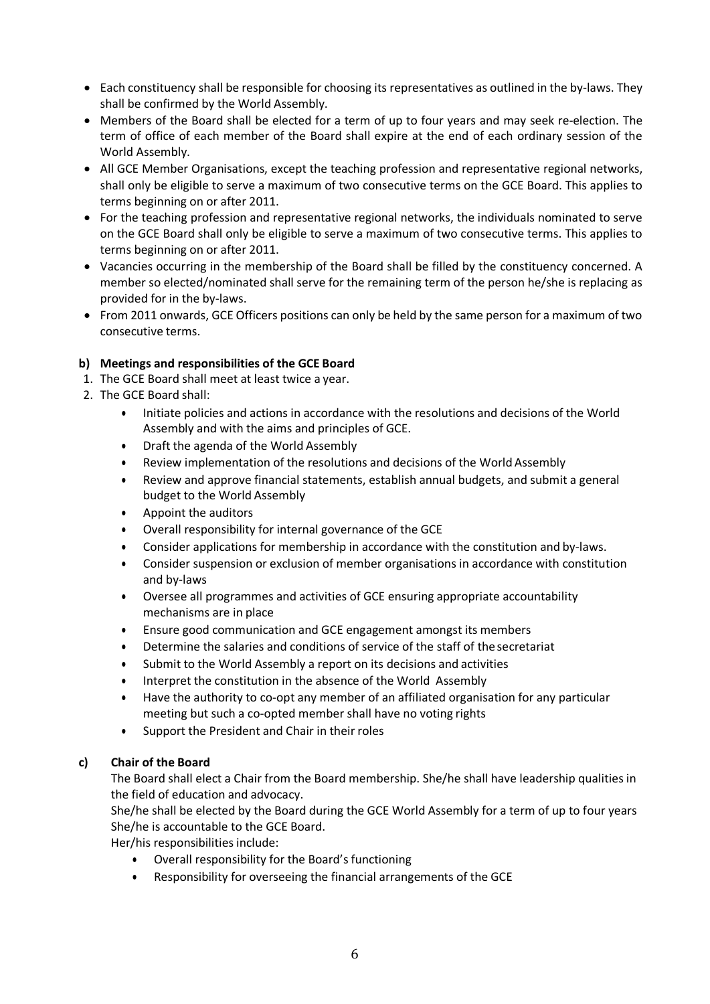- Each constituency shall be responsible for choosing its representatives as outlined in the by-laws. They shall be confirmed by the World Assembly.
- Members of the Board shall be elected for a term of up to four years and may seek re-election. The term of office of each member of the Board shall expire at the end of each ordinary session of the World Assembly.
- All GCE Member Organisations, except the teaching profession and representative regional networks, shall only be eligible to serve a maximum of two consecutive terms on the GCE Board. This applies to terms beginning on or after 2011.
- For the teaching profession and representative regional networks, the individuals nominated to serve on the GCE Board shall only be eligible to serve a maximum of two consecutive terms. This applies to terms beginning on or after 2011.
- Vacancies occurring in the membership of the Board shall be filled by the constituency concerned. A member so elected/nominated shall serve for the remaining term of the person he/she is replacing as provided for in the by-laws.
- From 2011 onwards, GCE Officers positions can only be held by the same person for a maximum of two consecutive terms.

## **b) Meetings and responsibilities of the GCE Board**

- 1. The GCE Board shall meet at least twice a year.
- 2. The GCE Board shall:
	- Initiate policies and actions in accordance with the resolutions and decisions of the World Assembly and with the aims and principles of GCE.
	- Draft the agenda of the World Assembly
	- Review implementation of the resolutions and decisions of the WorldAssembly
	- Review and approve financial statements, establish annual budgets, and submit a general budget to the World Assembly
	- Appoint the auditors
	- Overall responsibility for internal governance of the GCE
	- Consider applications for membership in accordance with the constitution and by-laws.
	- Consider suspension or exclusion of member organisations in accordance with constitution and by-laws
	- Oversee all programmes and activities of GCE ensuring appropriate accountability mechanisms are in place
	- Ensure good communication and GCE engagement amongst its members
	- Determine the salaries and conditions of service of the staff of the secretariat
	- Submit to the World Assembly a report on its decisions and activities
	- Interpret the constitution in the absence of the World Assembly
	- Have the authority to co-opt any member of an affiliated organisation for any particular meeting but such a co-opted member shall have no voting rights
	- Support the President and Chair in their roles

## **c) Chair of the Board**

The Board shall elect a Chair from the Board membership. She/he shall have leadership qualities in the field of education and advocacy.

She/he shall be elected by the Board during the GCE World Assembly for a term of up to four years She/he is accountable to the GCE Board.

Her/his responsibilities include:

- Overall responsibility for the Board's functioning
- Responsibility for overseeing the financial arrangements of the GCE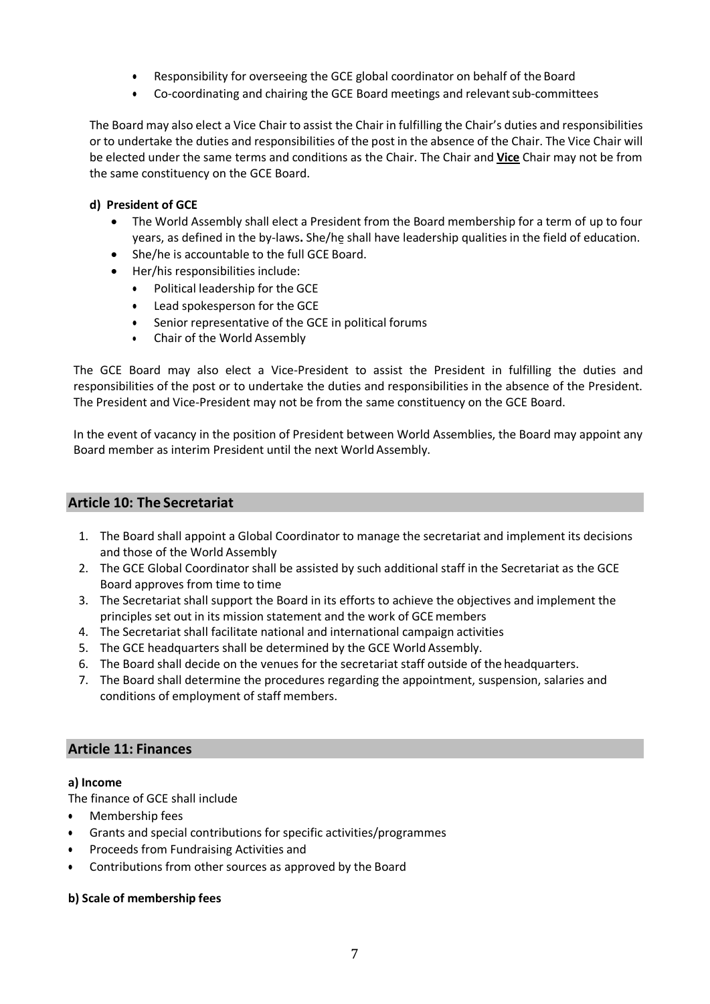- Responsibility for overseeing the GCE global coordinator on behalf of the Board
- Co-coordinating and chairing the GCE Board meetings and relevantsub-committees

The Board may also elect a Vice Chair to assist the Chair in fulfilling the Chair's duties and responsibilities or to undertake the duties and responsibilities of the post in the absence of the Chair. The Vice Chair will be elected under the same terms and conditions as the Chair. The Chair and **Vice** Chair may not be from the same constituency on the GCE Board.

## **d) President of GCE**

- The World Assembly shall elect a President from the Board membership for a term of up to four years, as defined in the by-laws**.** She/he shall have leadership qualities in the field of education.
- She/he is accountable to the full GCE Board.
- Her/his responsibilities include:
	- Political leadership for the GCE
	- Lead spokesperson for the GCE
	- Senior representative of the GCE in political forums
	- Chair of the World Assembly

The GCE Board may also elect a Vice-President to assist the President in fulfilling the duties and responsibilities of the post or to undertake the duties and responsibilities in the absence of the President. The President and Vice-President may not be from the same constituency on the GCE Board.

In the event of vacancy in the position of President between World Assemblies, the Board may appoint any Board member as interim President until the next WorldAssembly.

## **Article 10: The Secretariat**

- 1. The Board shall appoint a Global Coordinator to manage the secretariat and implement its decisions and those of the World Assembly
- 2. The GCE Global Coordinator shall be assisted by such additional staff in the Secretariat as the GCE Board approves from time to time
- 3. The Secretariat shall support the Board in its efforts to achieve the objectives and implement the principles set out in its mission statement and the work of GCE members
- 4. The Secretariat shall facilitate national and international campaign activities
- 5. The GCE headquarters shall be determined by the GCE World Assembly.
- 6. The Board shall decide on the venues for the secretariat staff outside of the headquarters.
- 7. The Board shall determine the procedures regarding the appointment, suspension, salaries and conditions of employment of staff members.

## **Article 11: Finances**

#### **a) Income**

The finance of GCE shall include

- Membership fees
- Grants and special contributions for specific activities/programmes
- Proceeds from Fundraising Activities and
- Contributions from other sources as approved by the Board

## **b) Scale of membership fees**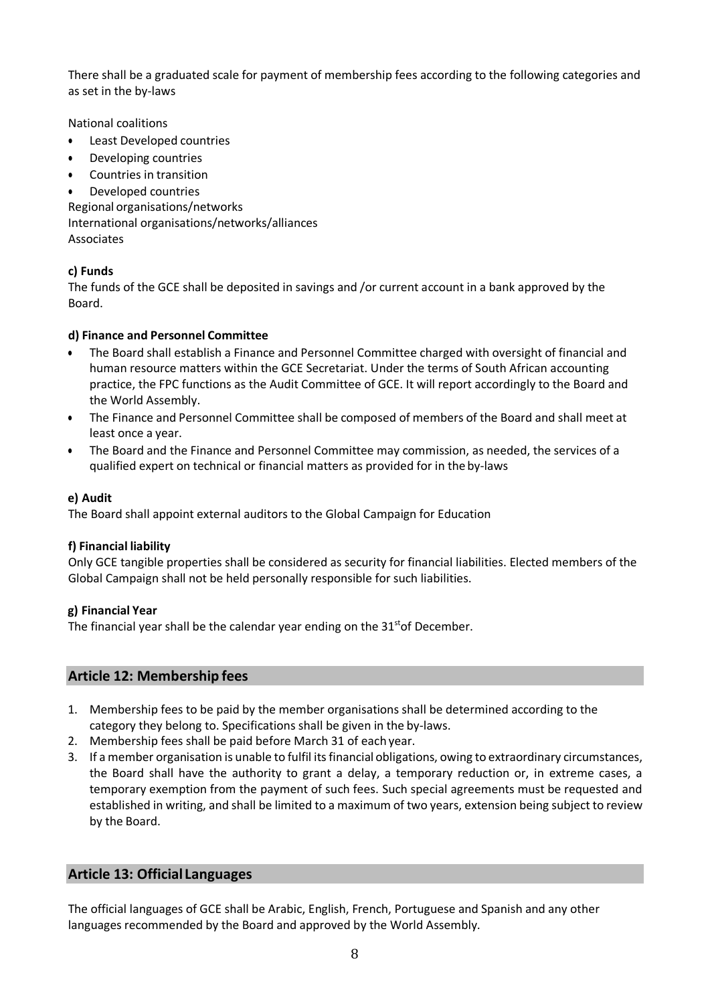There shall be a graduated scale for payment of membership fees according to the following categories and as set in the by-laws

National coalitions

- Least Developed countries
- Developing countries
- Countries in transition
- Developed countries

Regional organisations/networks International organisations/networks/alliances Associates

## **c) Funds**

The funds of the GCE shall be deposited in savings and /or current account in a bank approved by the Board.

## **d) Finance and Personnel Committee**

- The Board shall establish a Finance and Personnel Committee charged with oversight of financial and human resource matters within the GCE Secretariat. Under the terms of South African accounting practice, the FPC functions as the Audit Committee of GCE. It will report accordingly to the Board and the World Assembly.
- The Finance and Personnel Committee shall be composed of members of the Board and shall meet at least once a year.
- The Board and the Finance and Personnel Committee may commission, as needed, the services of a qualified expert on technical or financial matters as provided for in the by-laws

## **e) Audit**

The Board shall appoint external auditors to the Global Campaign for Education

## **f) Financial liability**

Only GCE tangible properties shall be considered as security for financial liabilities. Elected members of the Global Campaign shall not be held personally responsible for such liabilities.

## **g) Financial Year**

The financial year shall be the calendar year ending on the  $31<sup>st</sup>$ of December.

## **Article 12: Membership fees**

- 1. Membership fees to be paid by the member organisations shall be determined according to the category they belong to. Specifications shall be given in the by-laws.
- 2. Membership fees shall be paid before March 31 of each year.
- 3. If a member organisation is unable to fulfil its financial obligations, owing to extraordinary circumstances, the Board shall have the authority to grant a delay, a temporary reduction or, in extreme cases, a temporary exemption from the payment of such fees. Such special agreements must be requested and established in writing, and shall be limited to a maximum of two years, extension being subject to review by the Board.

# **Article 13: Official Languages**

The official languages of GCE shall be Arabic, English, French, Portuguese and Spanish and any other languages recommended by the Board and approved by the World Assembly.